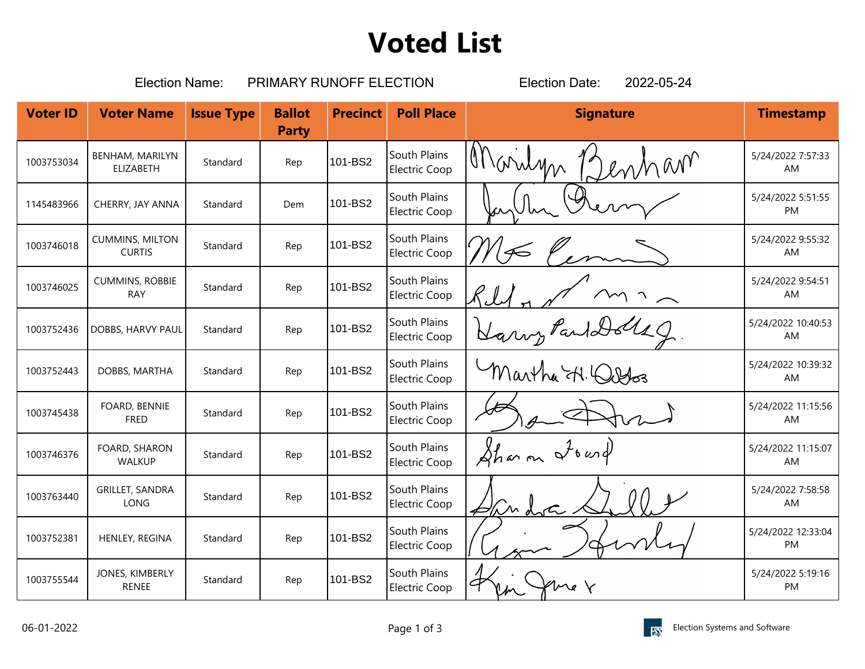## **Voted List**

|                 | <b>Election Name:</b>                   |                   | PRIMARY RUNOFF ELECTION       | 2022-05-24<br><b>Election Date:</b> |                                      |                  |                                 |
|-----------------|-----------------------------------------|-------------------|-------------------------------|-------------------------------------|--------------------------------------|------------------|---------------------------------|
| <b>Voter ID</b> | <b>Voter Name</b>                       | <b>Issue Type</b> | <b>Ballot</b><br><b>Party</b> | <b>Precinct</b>                     | <b>Poll Place</b>                    | <b>Signature</b> | <b>Timestamp</b>                |
| 1003753034      | <b>BENHAM, MARILYN</b><br>ELIZABETH     | Standard          | Rep                           | 101-BS2                             | South Plains<br>Electric Coop        | Marilyn<br>mnam  | 5/24/2022 7:57:33<br>AM         |
| 1145483966      | CHERRY, JAY ANNA                        | Standard          | Dem                           | 101-BS2                             | South Plains<br>Electric Coop        |                  | 5/24/2022 5:51:55<br>PM         |
| 1003746018      | <b>CUMMINS, MILTON</b><br><b>CURTIS</b> | Standard          | Rep                           | 101-BS2                             | South Plains<br><b>Electric Coop</b> |                  | 5/24/2022 9:55:32<br>AM         |
| 1003746025      | <b>CUMMINS, ROBBIE</b><br><b>RAY</b>    | Standard          | Rep                           | 101-BS2                             | South Plains<br><b>Electric Coop</b> |                  | 5/24/2022 9:54:51<br>AM         |
| 1003752436      | DOBBS, HARVY PAUL                       | Standard          | Rep                           | 101-BS2                             | South Plains<br>Electric Coop        | Harry Paul Dolls | 5/24/2022 10:40:53<br>AM        |
| 1003752443      | DOBBS, MARTHA                           | Standard          | Rep                           | 101-BS2                             | South Plains<br>Electric Coop        | Martha H. Quebos | 5/24/2022 10:39:32<br>AM        |
| 1003745438      | FOARD, BENNIE<br><b>FRED</b>            | Standard          | Rep                           | 101-BS2                             | South Plains<br>Electric Coop        |                  | 5/24/2022 11:15:56<br>AM        |
| 1003746376      | FOARD, SHARON<br>WALKUP                 | Standard          | Rep                           | 101-BS2                             | South Plains<br><b>Electric Coop</b> | Sharon Iownd     | 5/24/2022 11:15:07<br><b>AM</b> |
| 1003763440      | <b>GRILLET, SANDRA</b><br>LONG          | Standard          | Rep                           | 101-BS2                             | South Plains<br><b>Electric Coop</b> | Him dota         | 5/24/2022 7:58:58<br>AM         |
| 1003752381      | HENLEY, REGINA                          | Standard          | Rep                           | 101-BS2                             | South Plains<br>Electric Coop        |                  | 5/24/2022 12:33:04<br>PM        |
| 1003755544      | JONES, KIMBERLY<br><b>RENEE</b>         | Standard          | Rep                           | 101-BS2                             | South Plains<br>Electric Coop        | $\sim$ e         | 5/24/2022 5:19:16<br>PM         |

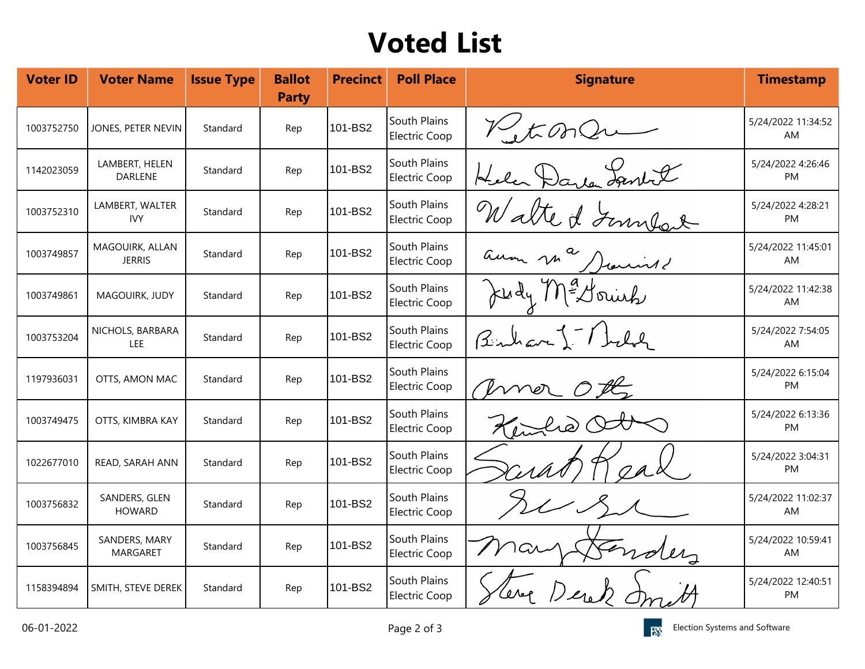## **Voted List**

| <b>Voter ID</b> | <b>Voter Name</b>                | <b>Issue Type</b> | <b>Ballot</b><br><b>Party</b> | <b>Precinct</b> | <b>Poll Place</b>                    | <b>Signature</b>    | <b>Timestamp</b>               |
|-----------------|----------------------------------|-------------------|-------------------------------|-----------------|--------------------------------------|---------------------|--------------------------------|
| 1003752750      | JONES, PETER NEVIN               | Standard          | Rep                           | 101-BS2         | South Plains<br><b>Electric Coop</b> | V. t. On Qr         | 5/24/2022 11:34:52<br>AM       |
| 1142023059      | LAMBERT, HELEN<br><b>DARLENE</b> | Standard          | Rep                           | 101-BS2         | South Plains<br><b>Electric Coop</b> | Helen Darlen Lanket | 5/24/2022 4:26:46<br>PM        |
| 1003752310      | LAMBERT, WALTER<br><b>IVY</b>    | Standard          | Rep                           | 101-BS2         | South Plains<br><b>Electric Coop</b> | Walte & June        | 5/24/2022 4:28:21<br>PM        |
| 1003749857      | MAGOUIRK, ALLAN<br><b>JERRIS</b> | Standard          | Rep                           | 101-BS2         | South Plains<br>Electric Coop        | aum ma Dienne       | 5/24/2022 11:45:01<br>AM       |
| 1003749861      | MAGOUIRK, JUDY                   | Standard          | Rep                           | 101-BS2         | South Plains<br><b>Electric Coop</b> | Judy Me Hounk       | 5/24/2022 11:42:38<br>AM       |
| 1003753204      | NICHOLS, BARBARA<br>LEE          | Standard          | Rep                           | 101-BS2         | South Plains<br><b>Electric Coop</b> | Benkar - Thele      | 5/24/2022 7:54:05<br>AM        |
| 1197936031      | OTTS, AMON MAC                   | Standard          | Rep                           | 101-BS2         | South Plains<br><b>Electric Coop</b> | OPL<br>mer          | 5/24/2022 6:15:04<br>PM        |
| 1003749475      | OTTS, KIMBRA KAY                 | Standard          | Rep                           | 101-BS2         | South Plains<br>Electric Coop        |                     | 5/24/2022 6:13:36<br><b>PM</b> |
| 1022677010      | READ, SARAH ANN                  | Standard          | Rep                           | 101-BS2         | South Plains<br><b>Electric Coop</b> |                     | 5/24/2022 3:04:31<br>PM        |
| 1003756832      | SANDERS, GLEN<br><b>HOWARD</b>   | Standard          | Rep                           | 101-BS2         | South Plains<br><b>Electric Coop</b> |                     | 5/24/2022 11:02:37<br>AM       |
| 1003756845      | SANDERS, MARY<br><b>MARGARET</b> | Standard          | Rep                           | 101-BS2         | South Plains<br>Electric Coop        |                     | 5/24/2022 10:59:41<br>AM       |
| 1158394894      | SMITH, STEVE DEREK               | Standard          | Rep                           | 101-BS2         | South Plains<br><b>Electric Coop</b> |                     | 5/24/2022 12:40:51<br>PM       |